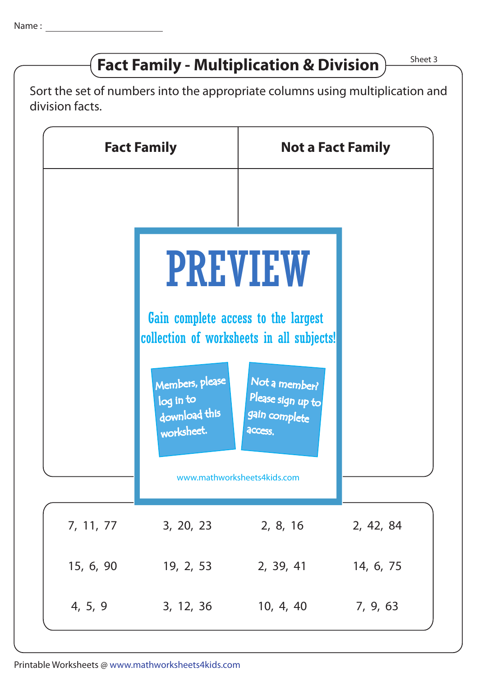## **Fact Family - Multiplication & Division**  $\right)$  Sheet 3

Sort the set of numbers into the appropriate columns using multiplication and division facts.

| <b>Fact Family</b> |                                                                                                                                        | <b>Not a Fact Family</b>                                                     |           |
|--------------------|----------------------------------------------------------------------------------------------------------------------------------------|------------------------------------------------------------------------------|-----------|
|                    | <b>PREVIEW</b><br>Gain complete access to the largest<br>collection of worksheets in all subjects!<br>Members, please<br>Not a member? |                                                                              |           |
|                    | log in to<br>download this<br>worksheet.                                                                                               | Please sign up to<br>gain complete<br>access.<br>www.mathworksheets4kids.com |           |
| 7, 11, 77          | 3, 20, 23                                                                                                                              | 2, 8, 16                                                                     | 2, 42, 84 |
| 15, 6, 90          | 19, 2, 53                                                                                                                              | 2, 39, 41                                                                    | 14, 6, 75 |
| 4, 5, 9            | 3, 12, 36                                                                                                                              | 10, 4, 40                                                                    | 7, 9, 63  |